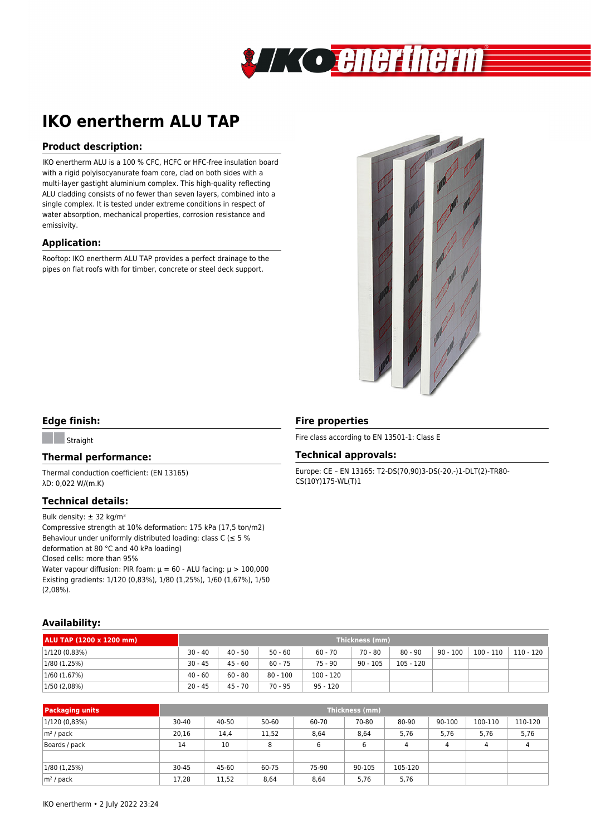

# **IKO enertherm ALU TAP**

## **Product description:**

IKO enertherm ALU is a 100 % CFC, HCFC or HFC-free insulation board with a rigid polyisocyanurate foam core, clad on both sides with a multi-layer gastight aluminium complex. This high-quality reflecting ALU cladding consists of no fewer than seven layers, combined into a single complex. It is tested under extreme conditions in respect of water absorption, mechanical properties, corrosion resistance and emissivity.

## **Application:**

Rooftop: IKO enertherm ALU TAP provides a perfect drainage to the pipes on flat roofs with for timber, concrete or steel deck support.



# **Edge finish:**

**Straight** 

#### **Thermal performance:**

Thermal conduction coefficient: (EN 13165) λD: 0,022 W/(m.K)

#### **Technical details:**

Bulk density:  $\pm$  32 kg/m<sup>3</sup>

Compressive strength at 10% deformation: 175 kPa (17,5 ton/m2) Behaviour under uniformly distributed loading: class  $C \leq 5 \%$ deformation at 80 °C and 40 kPa loading) Closed cells: more than 95% Water vapour diffusion: PIR foam:  $\mu = 60$  - ALU facing:  $\mu > 100,000$ Existing gradients: 1/120 (0,83%), 1/80 (1,25%), 1/60 (1,67%), 1/50 (2,08%).

# **Fire properties**

Fire class according to EN 13501-1: Class E

#### **Technical approvals:**

Europe: CE – EN 13165: T2-DS(70,90)3-DS(-20,-)1-DLT(2)-TR80- CS(10Y)175-WL(T)1

## **Availability:**

| ALU TAP (1200 x 1200 mm) | Thickness (mm) |           |            |             |            |             |            |             |           |
|--------------------------|----------------|-----------|------------|-------------|------------|-------------|------------|-------------|-----------|
| 1/120 (0.83%)            | $30 - 40$      | $40 - 50$ | $50 - 60$  | $60 - 70$   | 70 - 80    | $80 - 90$   | $90 - 100$ | $100 - 110$ | 110 - 120 |
| 1/80(1.25%)              | $30 - 45$      | $45 - 60$ | $60 - 75$  | 75 - 90     | $90 - 105$ | $105 - 120$ |            |             |           |
| 1/60 (1.67%)             | $40 - 60$      | $60 - 80$ | $80 - 100$ | $100 - 120$ |            |             |            |             |           |
| 1/50 (2,08%)             | $20 - 45$      | $45 - 70$ | $70 - 95$  | $95 - 120$  |            |             |            |             |           |

| <b>Packaging units</b> | Thickness (mm) |       |       |       |        |                |        |         |         |
|------------------------|----------------|-------|-------|-------|--------|----------------|--------|---------|---------|
| 1/120 (0,83%)          | $30 - 40$      | 40-50 | 50-60 | 60-70 | 70-80  | 80-90          | 90-100 | 100-110 | 110-120 |
| $ m^2$ / pack          | 20,16          | 14,4  | 11,52 | 8,64  | 8,64   | 5,76           | 5,76   | 5,76    | 5,76    |
| Boards / pack          | 14             | 10    | 8     |       | 6      | $\overline{4}$ | 4      | 4       | 4       |
|                        |                |       |       |       |        |                |        |         |         |
| 1/80(1,25%)            | $30 - 45$      | 45-60 | 60-75 | 75-90 | 90-105 | 105-120        |        |         |         |
| $ m^2$ / pack          | 17,28          | 11,52 | 8,64  | 8,64  | 5,76   | 5,76           |        |         |         |